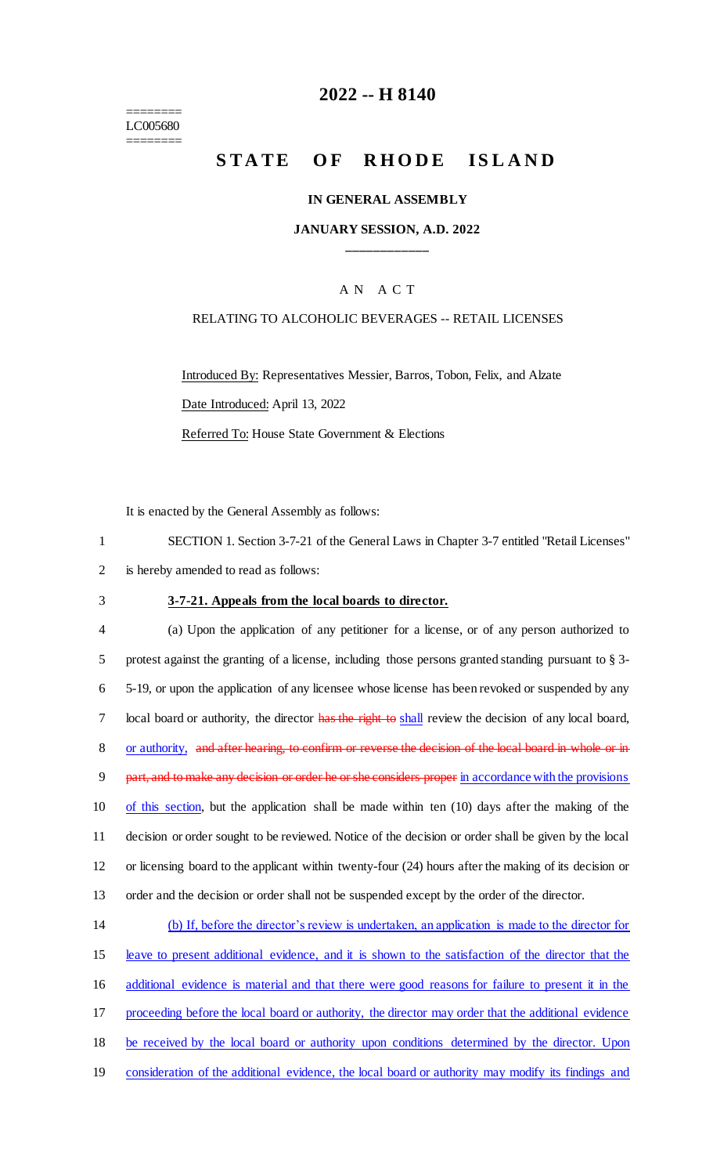======== LC005680 ========

## **2022 -- H 8140**

# **STATE OF RHODE ISLAND**

#### **IN GENERAL ASSEMBLY**

### **JANUARY SESSION, A.D. 2022 \_\_\_\_\_\_\_\_\_\_\_\_**

### A N A C T

#### RELATING TO ALCOHOLIC BEVERAGES -- RETAIL LICENSES

Introduced By: Representatives Messier, Barros, Tobon, Felix, and Alzate Date Introduced: April 13, 2022 Referred To: House State Government & Elections

It is enacted by the General Assembly as follows:

1 SECTION 1. Section 3-7-21 of the General Laws in Chapter 3-7 entitled "Retail Licenses" 2 is hereby amended to read as follows:

#### 3 **3-7-21. Appeals from the local boards to director.**

 (a) Upon the application of any petitioner for a license, or of any person authorized to protest against the granting of a license, including those persons granted standing pursuant to § 3- 5-19, or upon the application of any licensee whose license has been revoked or suspended by any 7 local board or authority, the director has the right to shall review the decision of any local board, or authority, and after hearing, to confirm or reverse the decision of the local board in whole or in 9 part, and to make any decision or order he or she considers proper in accordance with the provisions 10 of this section, but the application shall be made within ten (10) days after the making of the decision or order sought to be reviewed. Notice of the decision or order shall be given by the local or licensing board to the applicant within twenty-four (24) hours after the making of its decision or order and the decision or order shall not be suspended except by the order of the director.

 (b) If, before the director's review is undertaken, an application is made to the director for leave to present additional evidence, and it is shown to the satisfaction of the director that the additional evidence is material and that there were good reasons for failure to present it in the 17 proceeding before the local board or authority, the director may order that the additional evidence be received by the local board or authority upon conditions determined by the director. Upon consideration of the additional evidence, the local board or authority may modify its findings and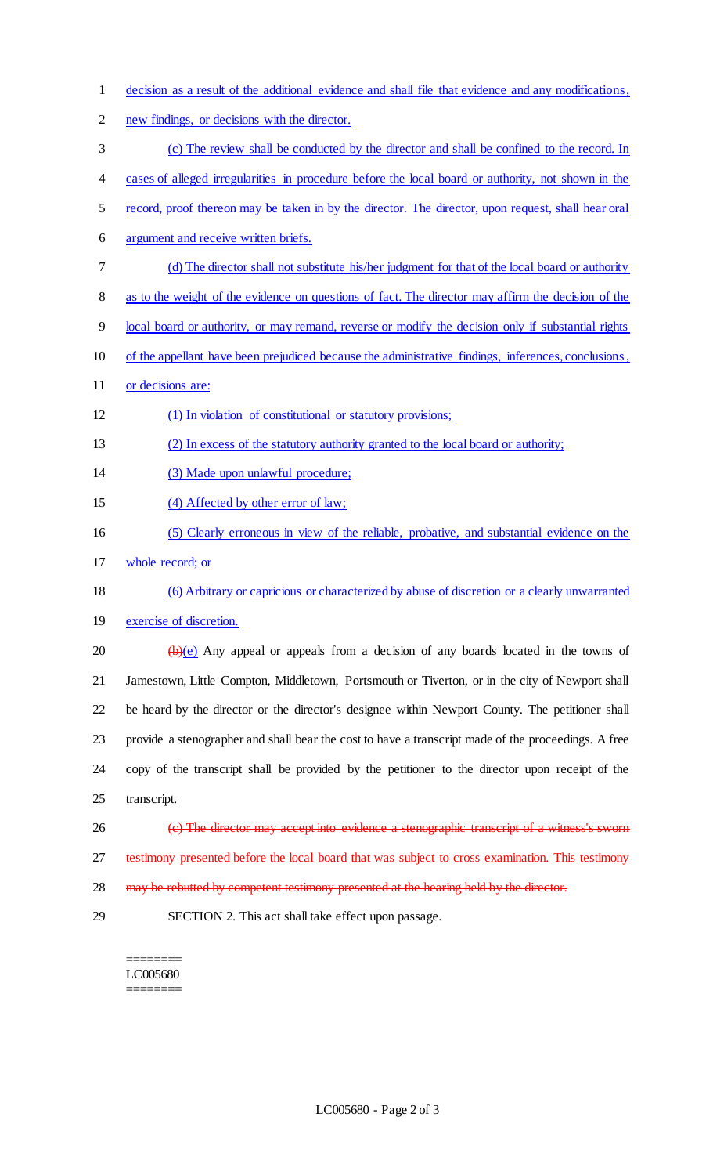decision as a result of the additional evidence and shall file that evidence and any modifications, new findings, or decisions with the director. (c) The review shall be conducted by the director and shall be confined to the record. In cases of alleged irregularities in procedure before the local board or authority, not shown in the record, proof thereon may be taken in by the director. The director, upon request, shall hear oral argument and receive written briefs. (d) The director shall not substitute his/her judgment for that of the local board or authority as to the weight of the evidence on questions of fact. The director may affirm the decision of the local board or authority, or may remand, reverse or modify the decision only if substantial rights of the appellant have been prejudiced because the administrative findings, inferences, conclusions, 11 or decisions are: (1) In violation of constitutional or statutory provisions; (2) In excess of the statutory authority granted to the local board or authority; (3) Made upon unlawful procedure; 15 (4) Affected by other error of law; (5) Clearly erroneous in view of the reliable, probative, and substantial evidence on the whole record; or (6) Arbitrary or capricious or characterized by abuse of discretion or a clearly unwarranted exercise of discretion.  $\left(\frac{b}{e}\right)$  Any appeal or appeals from a decision of any boards located in the towns of Jamestown, Little Compton, Middletown, Portsmouth or Tiverton, or in the city of Newport shall be heard by the director or the director's designee within Newport County. The petitioner shall provide a stenographer and shall bear the cost to have a transcript made of the proceedings. A free copy of the transcript shall be provided by the petitioner to the director upon receipt of the transcript. (c) The director may accept into evidence a stenographic transcript of a witness's sworn 27 testimony presented before the local board that was subject to cross examination. This testimony 28 may be rebutted by competent testimony presented at the hearing held by the director. SECTION 2. This act shall take effect upon passage.

======== LC005680 ========